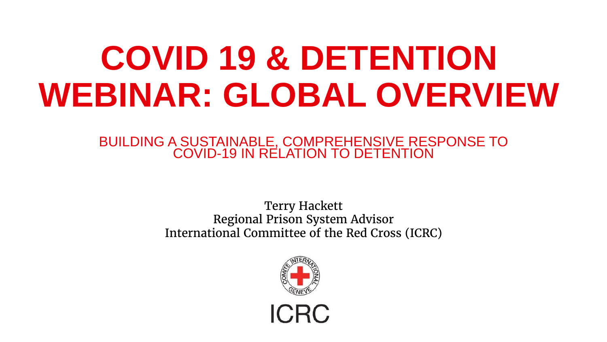# **COVID 19 & DETENTION WEBINAR: GLOBAL OVERVIEW**

BUILDING A SUSTAINABLE, COMPREHENSIVE RESPONSE TO COVID-19 IN RELATION TO DETENTION

> Terry Hackett Regional Prison System Advisor International Committee of the Red Cross (ICRC)

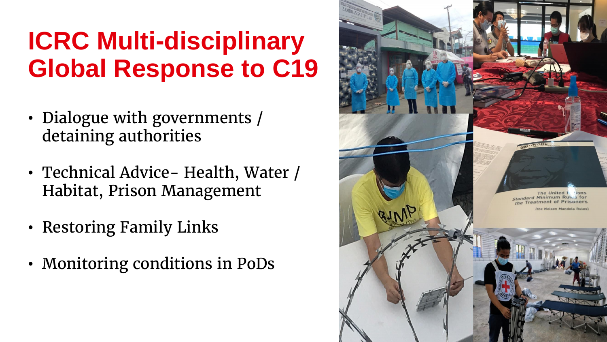#### **ICRC Multi-disciplinary Global Response to C19**

- Dialogue with governments / detaining authorities
- Technical Advice- Health, Water / Habitat, Prison Management
- Restoring Family Links
- Monitoring conditions in PoDs

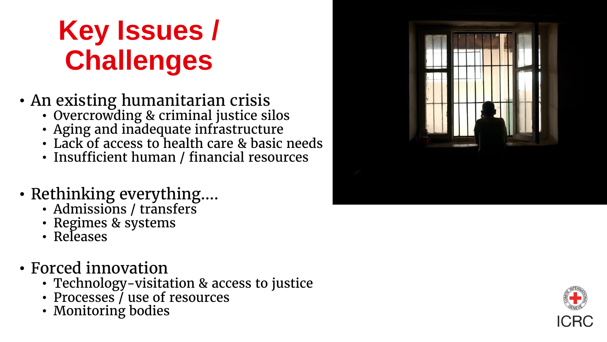## **Key Issues / Challenges**

- An existing humanitarian crisis
	- Overcrowding & criminal justice silos
	- Aging and inadequate infrastructure
	- Lack of access to health care & basic needs
	- Insufficient human / financial resources
- Rethinking everything….
	- Admissions / transfers
	- Regimes & systems
	- Releases
- Forced innovation
	- Technology-visitation & access to justice
	- Processes *l* use of resources
	- Monitoring bodies



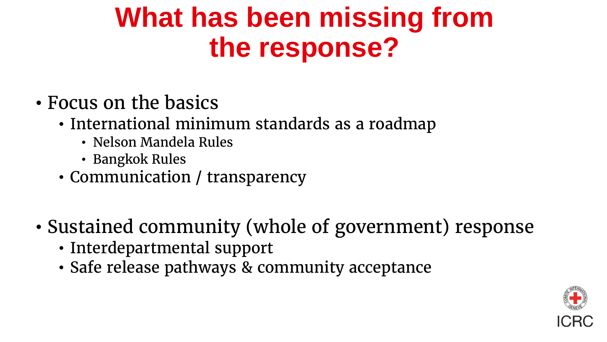### **What has been missing from the response?**

- Focus on the basics
	- International minimum standards as a roadmap
		- Nelson Mandela Rules
		- Bangkok Rules
	- Communication / transparency
- Sustained community (whole of government) response
	- Interdepartmental support
	- Safe release pathways & community acceptance

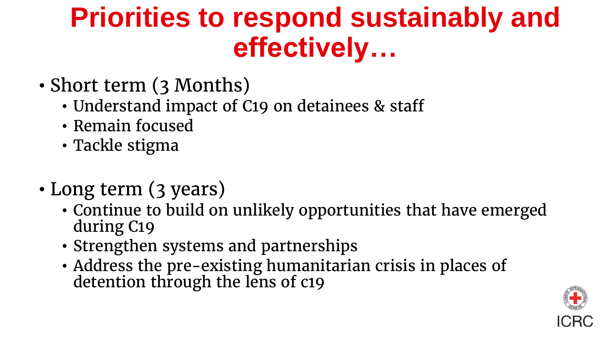### **Priorities to respond sustainably and effectively…**

- Short term (3 Months)
	- Understand impact of C19 on detainees & staff
	- Remain focused
	- Tackle stigma
- Long term (3 years)
	- Continue to build on unlikely opportunities that have emerged during C19
	- Strengthen systems and partnerships
	- Address the pre-existing humanitarian crisis in places of detention through the lens of c19